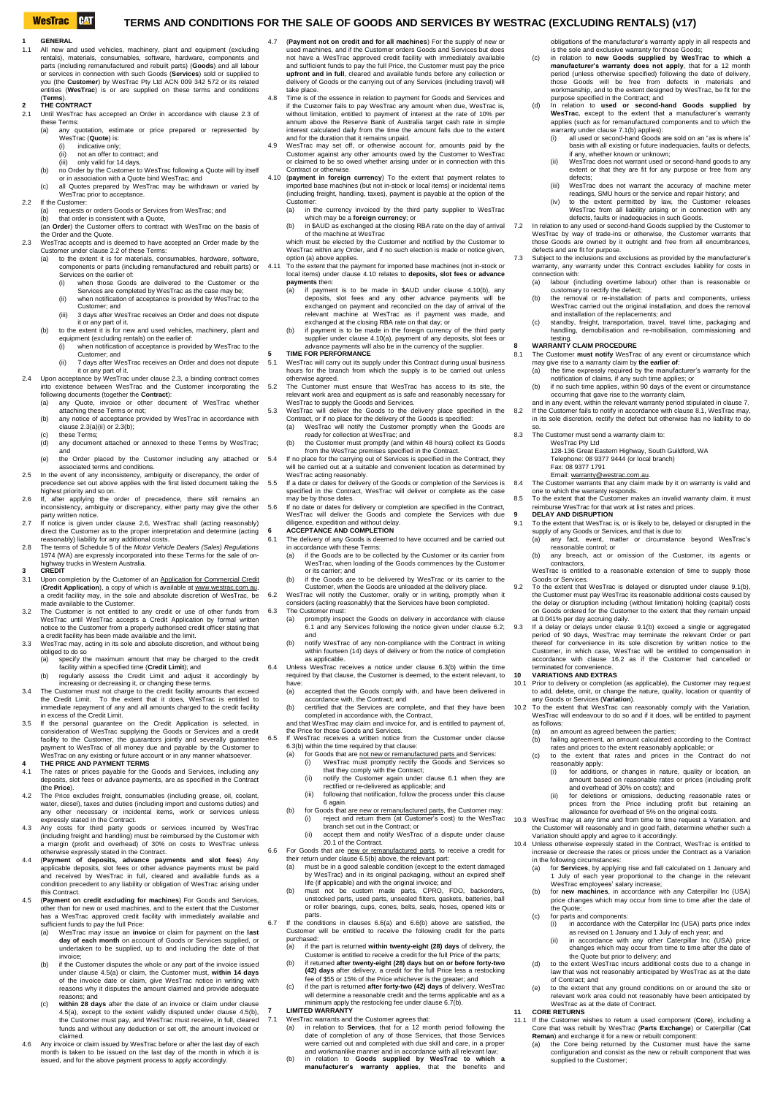# **WesTrac** CAT

### **TERMS AND CONDITIONS FOR THE SALE OF GOODS AND SERVICES BY WESTRAC (EXCLUDING RENTALS) (v17)**

- 
- **1 GENERAL** 1.1 All new and used vehicles, machinery, plant and equipment (excluding rentals), materials, consumables, software, hardware, components and parts (including remanufactured and rebuilt parts) (**Goods**) and all labour or s entities (**WesTrac**) is or are supplied on these terms and conditions

# (**Terms**). **2 THE CONTRACT**

- 2.1 Until WesTrac has accepted an Order in accordance with claus[e 2.3](#page-0-0) of these Terms<br>(a) any of
- e...<br>quotation, estimate or price prepared or represented by
	- WesTrac (**Quote**) is:<br>(i) indicative only;
	- (ii) not an offer to contract; and<br>(iii) only valid for 14 days
	- only valid for 14 days.
	- b) no Order by the Customer to WesTrac following a Quote will by itself<br>or in association with a Quote bind WesTrac; and<br>(c) all Quotes prepared by WesTrac may be withdrawn or varied by
	- WesTrac prior to acceptance.
- <span id="page-0-1"></span>2.2 If the Customer<br>(a) requests (a) requests or orders Goods or Services from WesTrac; and<br>(b) that order is consistent with a Quote
	- (b) that order is consistent with a Quote, (an **Order**) the Customer offers to contract with WesTrac on the basis of
- <span id="page-0-2"></span><span id="page-0-0"></span>the Order and the Quote. 2.3 WesTrac accepts and is deemed to have accepted an Order made by the
	- Customer under claus[e 2.2](#page-0-1) of these Terms:<br>(a) to the extent it is for materials, con to the extent it is for materials, consumables, hardware, software components or parts (including remanufactured and rebuilt parts) or
		- Services on the earlier of:<br>(i) when those Goods when those Goods are delivered to the Customer or the
		- Services are completed by WesTrac as the case may be;
		- (ii) when notification of acceptance is provided by WesTrac to the Customer; and (iii) 3 days after WesTrac receives an Order and does not dispu
	- it or any part of it. It of any part of it.<br>(b) to the extent it is for new and used vehicles, machinery, plant and
	- equipment (excluding rentals) on the earlier of: (i) when notification of acceptance is provided by WesTrac to the
	- Customer; and (ii) 7 days after WesTrac receives an Order and does not dispute
- <span id="page-0-3"></span>it or any part of it. 2.4 Upon acceptance by WesTrac under claus[e 2.3,](#page-0-0) a binding contract come
	- into existence between WesTrac and the Customer incorporating the following documents (together the **Contract**): (a) any Quote, invoice or other document of WesTrac whether attaching these Terms or not;
		- (b) any notice of acceptance provided by WesTrac in accordance with<br>claus[e 2.3\(a\)\(ii\)](#page-0-2) or [2.3\(b\);](#page-0-3)<br>(c) these Terms;
		- (d) any document attached or annexed to these Terms by WesTrac;
	- and
- (e) the Order placed by the Customer including any attached or<br>associated terms and conditions.<br>2.5 In the event of any inconsistency, ambiguity or discrepancy, the order of<br>precedence set out above applies with the first
- highest priority and so on.<br>If after applying the
- <span id="page-0-4"></span>2.6 If, after applying the order of precedence, there still remains an inconsistency, ambiguity or discrepancy, either party may give the other party written notice. 2.7 If notice is given under clause [2.6,](#page-0-4) WesTrac shall (acting reasonably)
- direct the Customer as to the proper interpretation and determine (acting reasonably) liability for any additional costs. 2.8 The terms of Schedule 5 of the *Motor Vehicle Dealers (Sales) Regulations*
- 1974 (WA) are expressly incorporated into these Terms for the sale of on-highway trucks in Western Australia. **3 CREDIT**
- 3.1 Upon completion by the Customer of a[n Application for Commercial Credit](https://prod.decisionpoint3.com/veda5/cm/Westrac/landing/index.html)<br>(Credit Application), a copy of which is available at www.westrac.com.au,<br>a credit facility may, in the sole and absolute discretion of WesTrac, b
- 3.2 The Customer is not entitled to any credit or use of other funds from WesTrac until WesTrac accepts a Credit Application by formal written<br>notice to the Customer from a properly authorised credit officer stating that<br>a credit facility has been made available and the limit.<br>WesTrac may, actin
- obliged to do so specify the maximum amount that may be charged to the credit
- 
- facility within a specified time (Credit Limit); and<br>
(b) regularly assess the Credit Limit and adjust it accordingly by<br>
increasing or decreasing it, or changing these terms.<br>
3.4 The Customer must not charge to the credi
- the Credit Limit. To the extent that it does, WesTrac is entitled to immediate repayment of any and all amounts charged to the credit facility<br>in excess of the Credit Limit.<br>3.5 If the personal guarantee on the Credit Application is selected, in<br>consideration of WesTrac supplying the Goods
- facility to the Customer, the guarantors jointly and severally guarantee payment to WesTrac of all money due and payable by the Customer to WesTrac on any existing or future account or in any manner whatsoever. **4 THE PRICE AND PAYMENT TERMS**
- 
- 4.1 The rates or prices payable for the Goods and Services, including any deposits, slot fees or advance payments, are as specified in the Contract
- the Price).<br>4.2 The Price excludes freight, consumables (including grease, oil, coolant,<br>water, diesel), taxes and duties (including import and customs duties) and any other necessary or incidental items, work or services unless expressly stated in the Contract.
- 4.3 Any costs for third party goods or services incurred by WesTrac (including freight and handling) must be reimbursed by the Customer with a margin (profit and overhead) of 30% on costs to WesTrac unless otherwise expressly stated in the Contract.
- 4.4 (Payment of deposits, advance payments and slot fees) Any<br>applicable deposits, slot fees or other advance payments must be paid<br>and received by WesTrac in full, cleared and available funds as a<br>condition precedent to a this Contract.
- <span id="page-0-6"></span><span id="page-0-5"></span>4.5 (**Payment on credit excluding for machines**) For Goods and Services, of than for new or used machines, and to the extent that the Customer has a WesTrac approved credit facility with immediately available and
	- sufficient funds to pay the full Price: (a) WesTrac may issue an **invoice** or claim for payment on the **last day of each month** on account of Goods or Services supplied, or undertaken to be supplied, up to and including the date of that invoice;
	- (b) if the Customer disputes the whole or any part of the in under claus[e 4.5\(a\)](#page-0-5) or claim, the Customer must, **within 14 days** of the invoice date or claim, give WesTrac notice in writing with reasons why it disputes the amount claimed and provide adequate reasons; and (c) **within 28 days** after the date of an invoice or claim under clause
	- [4.5\(a\),](#page-0-6) except to the extent validly disputed under clause [4.5\(b\),](#page-0-6)  the Customer must pay, and WesTrac must receive, in full, cleared funds and without any deduction or set off, the amount invoiced or claimed.
- 4.6 Any invoice or claim issued by WesTrac before or after the last day of month is taken to be issued on the last day of the month in which it is issued, and for the above payment process to apply accordingly.
- 4.7 (**Payment not on credit and for all machines**) For the supply of new or used machines, and if the Customer orders Goods and Services but does not have a WesTrac approved credit facility with immediately available and sufficient funds to pay the full Price, the Customer must pay the price upfront and in full, cleared and available funds before any collection delivery of Goods or the carrying out of any Services (including travel) will take place.
- 4.8 Time is of the essence in relation to payment for Goods and Services and<br>if the Customer falis to pay WesTrac any amount when due, WesTrac is,<br>without limitation, entitled to payment of interest at the rate of 10% per<br>
- interest calculated daily from the time the amount falls due to the extent<br>and for the duration that it remains unpaid.<br>4.9 WesTrac may set off, or otherwise account for, amounts paid by the<br>Customer against any other amou Contract or otherwise.
- <span id="page-0-9"></span><span id="page-0-7"></span>4.10 (payment in foreign currency) To the extent that payment relates to imported base machines (but not in-stock or local items) or incidental items (including freight, handling, taxes), payment is payable at the option o **Customer** 
	- (a) in the currency invoiced by the third party supplier to WesTrac which may be a **foreign currency**; or (b) in \$AUD as exchanged at the closing RBA rate on the day of arrival of the machine at WesTrac
	- which must be elected by the Customer and notified by the Customer to
- <span id="page-0-8"></span>WesTrac within any Order, and if no such election is made or notice given, option (a) above applies. 4.11 To the extent that the payment for imported base machines (not in-stock or local items) under claus[e 4.10](#page-0-7) relates to **deposits, slot fees or advance** 
	- **payments** then:
		- if payment is to be made in \$AUD under clause  $4.10(b)$ , any deposits, slot fees and any other advance payments will be exchanged on payment and reconciled on the day of arrival of the relevant machine at WesTrac as if payment was made, and exchanged at the closing RBA rate on that day; or
- (b) if payment is to be made in the foreign currency of the third party<br>supplier under claus[e 4.10\(a\),](#page-0-9) payment of any deposits, slot fees or<br>advance payments will also be in the currency of the supplier.<br>**5** TIME FOR PERFO
- 
- 5.1 WesTrac will carry out its supply under this Contract during usual business hours for the branch from which the supply is to be carried out unless otherwise agreed.
- 5.2 The Customer must ensure that WesTrac has access to its site, the relevant work area and equipment as is safe and reasonably necessary for WesTrac to supply the Goods and Services.
- <span id="page-0-23"></span>west the supply the Goods and Services.<br>5.3 WesTrac will deliver the Goods to the delivery place specified in the 8.2 Contract, or if no place for the delivery of the Goods is specified:<br>(a) WesTrac will notify the Customer promptly when the
	- (a) WesTrac will notify the Customer promptly when the Goods are<br>ready for collection at WesTrac; and<br>(b) the Customer must promptly (and within 48 hours) collect its Goods<br>from the WesTrac premises specified in the Contra
- 5.4 If no place for the carrying out of Services is specified in the Contract, they<br>will be carried out at a suitable and convenient location as determined by<br>WesTrac acting reasonably.<br>5.5 If a date or dates for delivery
- specified in the Contract, WesTrac will deliver or complete as the case
- may be by those dates.<br>
If no date or dates for delivery or completion are specified in the Contract,<br>
WesTrac will deliver the Goods and complete the Services with due<br>
diligence, expedition and without delay.<br> **GEOGEPTAN**
- 
- <span id="page-0-13"></span><span id="page-0-10"></span>6.1 The delivery of any Goods is deemed to have occurred and be carried out<br>in accordance with these Terms:<br>(a) if the Goods are to be collected by the Customer or its carrier from<br>WesTrac, when loading of the Goods commen
	- or its carrier; and (b) if the Goods are to be delivered by WesTrac or its carrier to the
- <span id="page-0-11"></span>Customer, when the Goods are unloaded at the delivery place. 6.2 WesTrac will notify the Customer, orally or in writing, promptly when it considers (acting reasonably) that the Services have been completed.
- 6.3 The Customer must:<br>(a) promptly inspected
	- (a) promptly inspect the Goods on delivery in accordance with clause [6.1](#page-0-10) and any Services following the notice given under claus[e 6.2;](#page-0-11)  and (b) notify WesTrac of any non-compliance with the Contract in writing
	- within fourteen (14) days of delivery or from the notice of completion as applicable.
- <span id="page-0-12"></span>do diplicable.<br>6.4 Unless WesTrac receives a notice under clause [6.3\(b\)](#page-0-12) within the time required by that clause, the Customer is deemed, to the extent relevant, to
	- have:<br>(a) accepted that the Goods comply with, and have been delivered in accordance with, the Contract; and<br>certified that the Services are complete, and that they have been
- (b) certified that the Services are complete, and that they have been<br>completed in accordance with, the Contract,<br>and that WesTrac may claim and invoice for, and is entitled to payment of,<br>the Price for those Goods and Ser
	- -
		- (a) for Goods that are <u>not new or remanufactured parts</u> and Services:<br>
		(i) WesTrac must promptly rectify the Goods and Services so<br>
		that they comply with the Contract;<br>
		(ii) notify the Customer again under clause [6.1](#page-0-10) when
			- (iii) following that notification, follow the process under this clause
		- nonon.<br>[6](#page-0-13) agair (b) for Goods that are new or remanufactured parts, the Customer may:<br>(i) reject and return them (at Customer's cost) to the WesTrac
			- branch set out in the Contract; or (ii) accept them and notify WesTrac of a dispute under clause
		- [20.1](#page-1-0) of the Contract.
- <span id="page-0-15"></span><span id="page-0-14"></span>6.6 For Goods that are new or remanufactured parts, to receive a credit for their return under claus[e 6.5\(b\)](#page-0-14) above, the relevant part: (a) must be in a good saleable condition (except to the extent damaged
	- by WesTrac) and in its original packaging, without an expired shelf<br>life (if applicable) and with the original invoice; and<br>must not be custom made parts, CPRO, FDO, backorders,<br>unstocked parts, used parts, unsealed filter
- <span id="page-0-19"></span><span id="page-0-18"></span><span id="page-0-17"></span><span id="page-0-16"></span>6.7 If the conditions in clauses [6.6\(a\)](#page-0-15) and [6.6\(b\)](#page-0-16) above are satisfied, the Customer will be entitled to receive the following credit for the parts purchased:
	- (a) if the part is returned **within twenty-eight (28) days** of delivery, the Customer is entitled to receive a credit for the full Price of the parts; (b) if returned **after twenty-eight (28) days but on or before forty-two**<br> **(42) days** after delivery, a credit for the full Price less a restocking<br>
	fee of \$55 or 15% of the Price whichever is the greater; and
	- (c) if the part is returned **after forty-two (42) days** of delivery, WesTrac will determine a reasonable credit and the terms applicable and as a
	- minimum apply the restocking fee under claus[e 6.7\(b\).](#page-0-17) **7 LIMITED WARRANTY**
	- The Term and the Customer agrees that:
	- (a) in relation to **Services**, that for a 12 month period following the date of completion of any of those Services, that those Services were carried out and completed with due skill and care, in a proper
	- and workmanlike manner and in accordance with all relevant law; (b) in relation to **Goods supplied by WesTrac to which a manufacturer's warranty applies**, that the benefits and

obligations of the manufacturer's warranty apply in all respects and

- is the sole and exclusive warranty for those Goods; (c) in relation to **new Goods supplied by WesTrac to which a manufacturer's warranty does not apply**, that for a 12 month period (unless otherwise specified) following the date of delivery, those Goods will be free from defects in materials and workmanship, and to the extent designed by WesTrac, be fit for the
- purpose specified in the Contract; and<br>
(d) In relation to used or second-hand Goods supplied by<br>
In relation to used or second-hand a manufacturer's warranty<br>
applies (such as for remanufactured components and to which th
	- warranty under claus[e 7.1\(b\)](#page-0-18) applies):<br>(i) all used or second-hand Goods (i) all used or second-hand Goods are sold on an "as is where is" basis with all existing or future inadequacies, faults or defects, if any, whether known or unknown;
	- lii) West race is a movement used or second-hand goods to any<br>iii) West rac does not warrant used or second-hand goods to any extent or that they are fit for any purpose or free from any defects;
	- (iii) WesTrac does not warrant the accuracy of machine meter readings, SMU hours or the service and repair history; and
- (iv) to the extent permitted by law, the Customer releases<br>WesTrac from all liability arising or in connection with any<br>defects, faults or inadequacies in such Goods.<br>7.2 In relation to any used or second-hand Goods suppli

those Goods are owned by it outright and free from all encumbrances

(b) the removal or re-uny the vertext,<br>(b) the removal or re-installation of parts and components, unless<br>WesTrac carried out the original installation, and does the removal WesTrac carried out the original installation, and does the removal and installation of the replacements; and (c) standby, freight, transportation, travel, travel time, packaging and handling, demobilisation and re-mobilisation, commissioning and

7.3 Subject to the inclusions and exclusions as provided by the manufacturer's warranty, any warranty under this Contract excludes liability for costs in connection with: (a) labour (including overtime labour) other than is reasonable or

<span id="page-0-20"></span>8.1 The Customer **must notify** WesTrac of any event or circumstance which

WesTrac Pty Ltd 128-136 Great Eastern Highway, South Guildford, WA Telephone: 08 9377 9444 (or local branch)

Email[: warranty@westrac.com.au.](mailto:warranty@westrac.com.au)<br>8.4 The Customer warrants that any claim made by it on warranty is valid and

8.5 To the extent that the Customer makes an invalid warranty claim, it must and state and the sections makes an invaliation<br>nburse WesTrac for that work at list rates and prices.

9.1 To the extent that WesTrac is, or is likely to be, delayed or disrupted in the

9.2 To the extent that WesTrac is delayed or disrupted under clause 9.1(b),<br>the Customer must pay WesTrac its reasonable additional costs caused by<br>the delay or disruption including (without limitation) holding (capital) c on Goods ordered for the Customer to the extent that they remain unpaid

at 0.041% per day accruing daily.<br>9.3 If a delay or delays under claus[e 9.1\(b\)](#page-0-21) exceed a single or aggregated<br>period of 90 days, WesTrac may terminate the relevant Order or part<br>thereof for convenience in its sole discretio

10.1 Prior to delivery or completion (as applicable), the Customer may request to add, delete, omit, or change the nature, quality, location or quantity of

10.2 To the extent that WesTrac can reasonably comply with the Variation, WesTrac will endeavour to do so and if it does, will be entitled to payment

10.3 WesTrac may at any time and from time to time request a Variation. and<br>the Customer will reasonably and in good faith, determine whether such a<br>Variation should apply and agree to it accordingly.<br>10.4 Unless otherwise

(a) for **Services**, by applying rise and fall calculated on 1 January and 1 July of each year proportional to the change in the relevant WesTrace employees' salary increase;<br>WesTrace mployees' salary increase;<br>(b) for new price changes which may occur from time to time after the date of

(e) to the extent that any ground conditions on or around the site or relevant work area could not reasonably have been anticipated by

<span id="page-0-22"></span>11.1 If the Customer wishes to return a used component (**Core**), including a Core that was rebuilt by WesTrac (**Parts Exchange**) or Caterpillar (**Cat Reman**) and exchange it for a new or rebuilt component: (a) the Core being returned by the Customer must have the same configuration and consist as the new or rebuilt component that was

in accordance with the Caterpillar Inc (USA) parts price index as revised on 1 January and 1 July of each year; and (ii) in accordance with any other Caterpillar Inc (USA) price changes which may occur from time to time after the date of the Quote but prior to delivery; and (d) to the extent WesTrac incurs additional costs due to a change in law that was not reasonably anticipated by WesTrac as at the date

(b) failing agreement, an amount calculated according to the Contract rates and prices to the extent reasonably applicable; or<br>
(c) to the extent that rates and prices in the Contract do not<br>
reasonably apply:<br>
(i) for additions, or changes in nature, quality or location, an

amount based on reasonable rates or prices (including profit<br>and overhead of 30% on costs); and<br>(ii) for deletions or omissions, deducting reasonable rates or<br>prices from the Price including profit but retaining an<br>allowan

busionic), in which clase, westface will be childed to compensation in<br>accordance with clause [16.2](#page-1-1) as if the Customer had cancelled or

<span id="page-0-21"></span>(a) any fact, event, matter or circumstance beyond WesTrac's reasonable control; or (b) any breach, act or omission of the Customer, its agents or contractors, WesTrac is entitled to a reasonable extension of time to supply those

supply of any Goods or Services, and that is due to:<br>(a) any fact, event, matter or circumstance

(a) the time expressly required by the manufacturer's warranty for the notification of claims, if any such time applies; or (b) if no such time applies, within 90 days of the event or circumstance occurring that gave rise to the warranty claim, and in any event, within the relevant warranty period stipulated in claus[e 7.](#page-0-19) 8.2 If the Customer fails to notify in accordance with claus[e 8.1,](#page-0-20) WesTrac may, in its sole discretion, rectify the defect but otherwise has no liability to do

defects and are fit for purpose

testing. **8 WARRANTY CLAIM PROCEDURE**

so.<br>The Custo

customary to rectify the defect;

may give rise to a warranty claim by **the earlier of**:

8.3 The Customer must send a warranty claim to:

Fax: 08 9377 1791

**9 DELAY AND DISRUPTION**

Goods or Services.

terminated for convenience. **10 VARIATIONS AND EXTRAS**

WesTrac<br>as follows:<br>(a) an a

any Goods or Services (**Variation**).

in the following circumstances:

the Quote; (c) for parts and components

of Contract; and

**11 CORE RETURNS**

WesTrac as at the date of Contract.

supplied to the Customer:

 $(a)$  and amount as agreed between the parties;<br> $(b)$  an amount as agreed between the parties;

one to which the warranty responds.